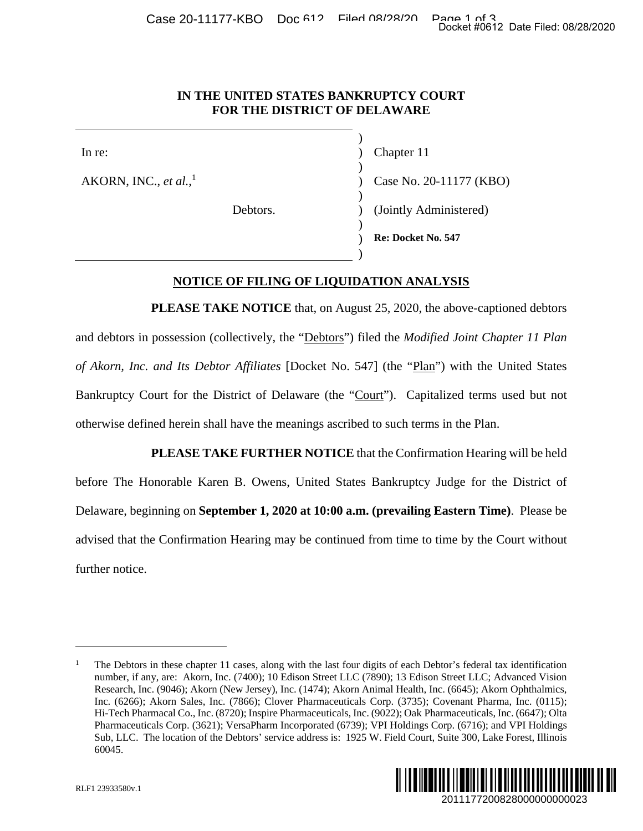#### **IN THE UNITED STATES BANKRUPTCY COURT FOR THE DISTRICT OF DELAWARE**

 $\overline{\phantom{a}}$ AKORN, INC., *et al.*, 1

 $\overline{\phantom{a}}$ 

 $\overline{\phantom{a}}$ 

 $\overline{\phantom{a}}$ 

 $\overline{\phantom{a}}$ 

In re: (a) Chapter 11 ) Case No. 20-11177 (KBO) Debtors. (Jointly Administered)

) **Re: Docket No. 547** 

#### **NOTICE OF FILING OF LIQUIDATION ANALYSIS**

**PLEASE TAKE NOTICE** that, on August 25, 2020, the above-captioned debtors and debtors in possession (collectively, the "Debtors") filed the *Modified Joint Chapter 11 Plan of Akorn, Inc. and Its Debtor Affiliates* [Docket No. 547] (the "Plan") with the United States Bankruptcy Court for the District of Delaware (the "Court"). Capitalized terms used but not otherwise defined herein shall have the meanings ascribed to such terms in the Plan.

**PLEASE TAKE FURTHER NOTICE** that the Confirmation Hearing will be held before The Honorable Karen B. Owens, United States Bankruptcy Judge for the District of Delaware, beginning on **September 1, 2020 at 10:00 a.m. (prevailing Eastern Time)**. Please be advised that the Confirmation Hearing may be continued from time to time by the Court without further notice. 2011177200828000000000023 Docket #0612 Date Filed: 08/28/2020

<sup>1</sup> The Debtors in these chapter 11 cases, along with the last four digits of each Debtor's federal tax identification number, if any, are: Akorn, Inc. (7400); 10 Edison Street LLC (7890); 13 Edison Street LLC; Advanced Vision Research, Inc. (9046); Akorn (New Jersey), Inc. (1474); Akorn Animal Health, Inc. (6645); Akorn Ophthalmics, Inc. (6266); Akorn Sales, Inc. (7866); Clover Pharmaceuticals Corp. (3735); Covenant Pharma, Inc. (0115); Hi-Tech Pharmacal Co., Inc. (8720); Inspire Pharmaceuticals, Inc. (9022); Oak Pharmaceuticals, Inc. (6647); Olta Pharmaceuticals Corp. (3621); VersaPharm Incorporated (6739); VPI Holdings Corp. (6716); and VPI Holdings Sub, LLC. The location of the Debtors' service address is: 1925 W. Field Court, Suite 300, Lake Forest, Illinois 60045.



 $\overline{a}$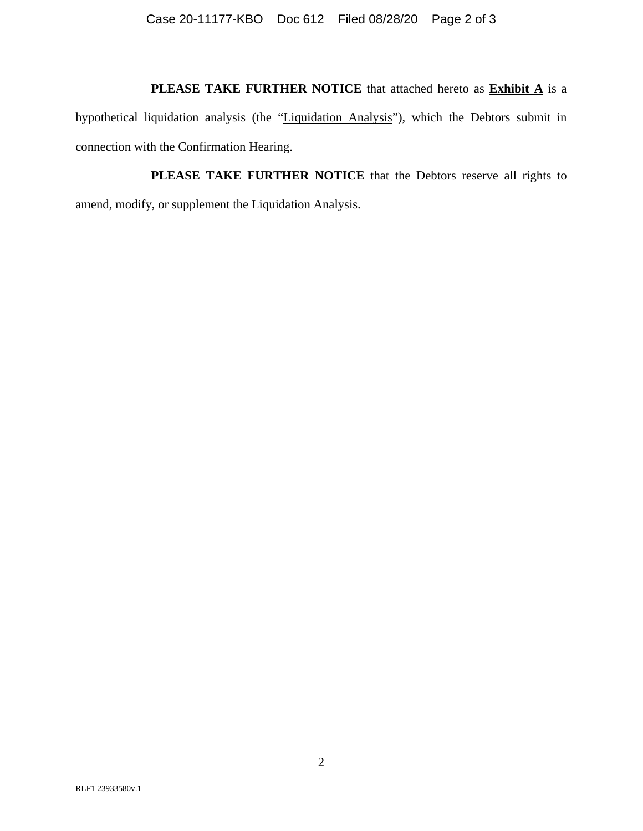# **PLEASE TAKE FURTHER NOTICE** that attached hereto as **Exhibit A** is a

hypothetical liquidation analysis (the "Liquidation Analysis"), which the Debtors submit in connection with the Confirmation Hearing.

**PLEASE TAKE FURTHER NOTICE** that the Debtors reserve all rights to amend, modify, or supplement the Liquidation Analysis.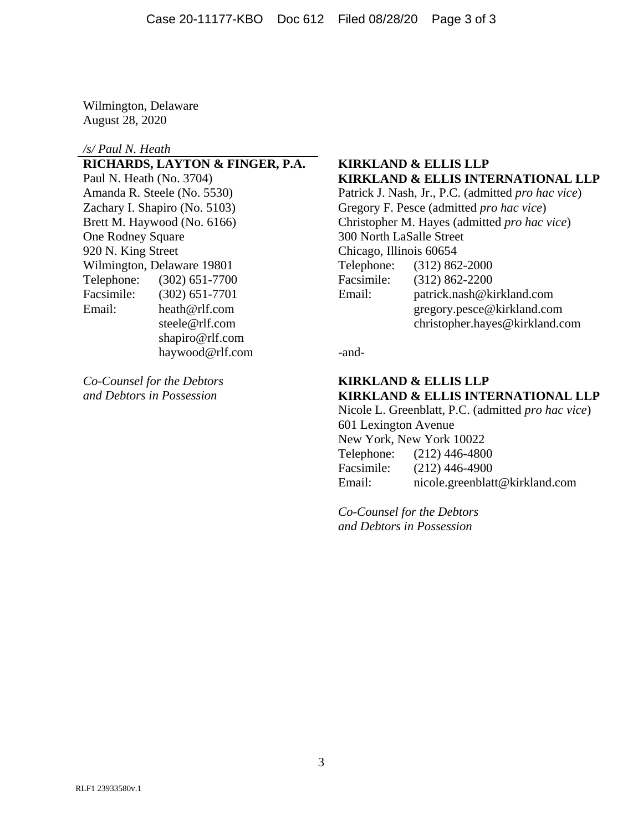Wilmington, Delaware August 28, 2020

#### */s/ Paul N. Heath*

**RICHARDS, LAYTON & FINGER, P.A. KIRKLAND & ELLIS LLP**  Zachary I. Shapiro (No. 5103) Gregory F. Pesce (admitted *pro hac vice*) One Rodney Square 300 North LaSalle Street 920 N. King Street Chicago, Illinois 60654 Wilmington, Delaware 19801 Telephone: (312) 862-2000 Telephone: (302) 651-7700 Facsimile: (312) 862-2200 Facsimile: (302) 651-7701 Email: patrick.nash@kirkland.com shapiro@rlf.com haywood@rlf.com -and-

# Paul N. Heath (No. 3704) **KIRKLAND & ELLIS INTERNATIONAL LLP**

Amanda R. Steele (No. 5530) Patrick J. Nash, Jr., P.C. (admitted *pro hac vice*) Brett M. Haywood (No. 6166) Christopher M. Hayes (admitted *pro hac vice*) Email: heath@rlf.com gregory.pesce@kirkland.com steele@rlf.com christopher.hayes@kirkland.com

#### *Co-Counsel for the Debtors* **KIRKLAND & ELLIS LLP** *and Debtors in Possession* **KIRKLAND & ELLIS INTERNATIONAL LLP**

 Nicole L. Greenblatt, P.C. (admitted *pro hac vice*) 601 Lexington Avenue New York, New York 10022 Telephone: (212) 446-4800 Facsimile: (212) 446-4900 Email: nicole.greenblatt@kirkland.com

 *Co-Counsel for the Debtors and Debtors in Possession*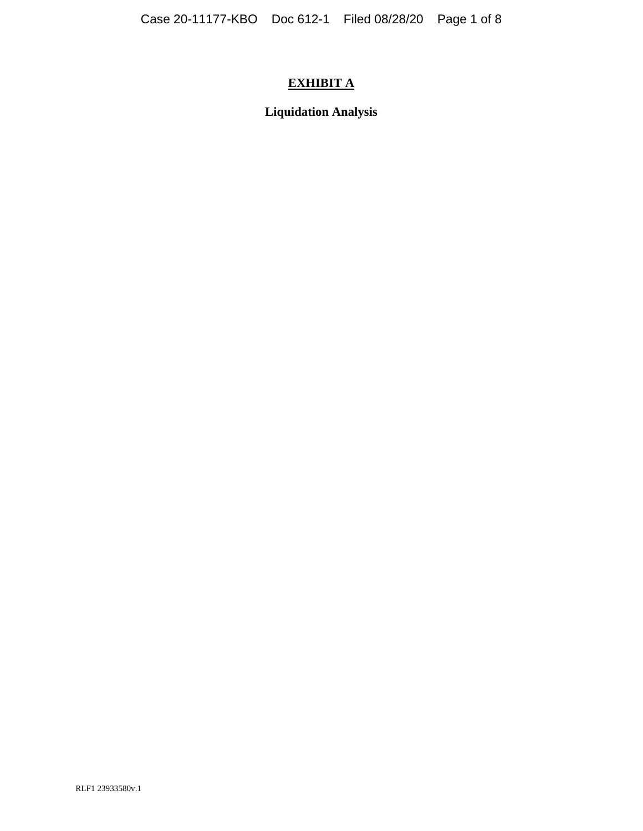# **EXHIBIT A**

**Liquidation Analysis**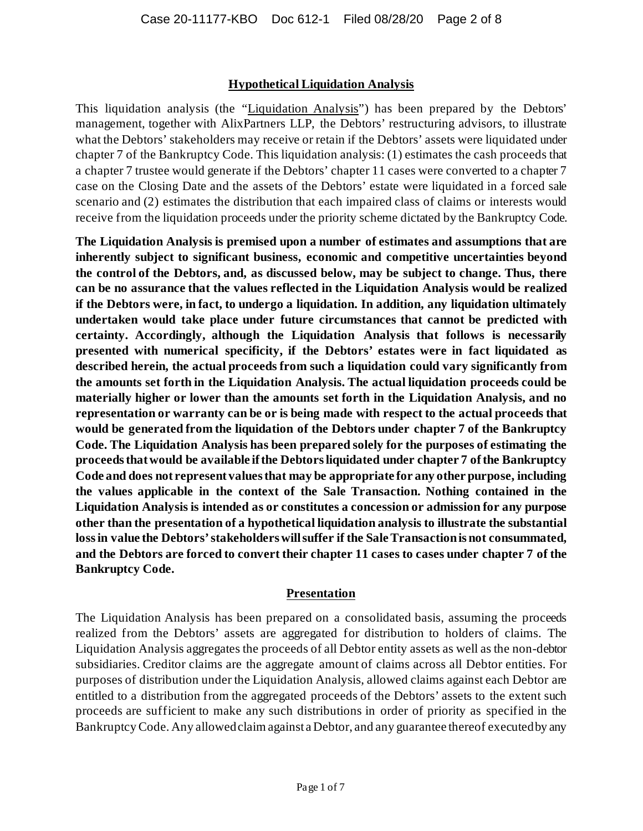#### **Hypothetical Liquidation Analysis**

This liquidation analysis (the "Liquidation Analysis") has been prepared by the Debtors' management, together with AlixPartners LLP, the Debtors' restructuring advisors, to illustrate what the Debtors' stakeholders may receive or retain if the Debtors' assets were liquidated under chapter 7 of the Bankruptcy Code. This liquidation analysis: (1) estimates the cash proceeds that a chapter 7 trustee would generate if the Debtors' chapter 11 cases were converted to a chapter 7 case on the Closing Date and the assets of the Debtors' estate were liquidated in a forced sale scenario and (2) estimates the distribution that each impaired class of claims or interests would receive from the liquidation proceeds under the priority scheme dictated by the Bankruptcy Code.

**The Liquidation Analysis is premised upon a number of estimates and assumptions that are inherently subject to significant business, economic and competitive uncertainties beyond the control of the Debtors, and, as discussed below, may be subject to change. Thus, there can be no assurance that the values reflected in the Liquidation Analysis would be realized if the Debtors were, in fact, to undergo a liquidation. In addition, any liquidation ultimately undertaken would take place under future circumstances that cannot be predicted with certainty. Accordingly, although the Liquidation Analysis that follows is necessarily presented with numerical specificity, if the Debtors' estates were in fact liquidated as described herein, the actual proceeds from such a liquidation could vary significantly from the amounts set forth in the Liquidation Analysis. The actual liquidation proceeds could be materially higher or lower than the amounts set forth in the Liquidation Analysis, and no representation or warranty can be or is being made with respect to the actual proceeds that would be generated from the liquidation of the Debtors under chapter 7 of the Bankruptcy Code. The Liquidation Analysis has been prepared solely for the purposes of estimating the proceeds that would be available if the Debtors liquidated under chapter 7 of the Bankruptcy Code and does not represent values that may be appropriate for any other purpose, including the values applicable in the context of the Sale Transaction. Nothing contained in the Liquidation Analysis is intended as or constitutes a concession or admission for any purpose other than the presentation of a hypothetical liquidation analysis to illustrate the substantial loss in value the Debtors' stakeholders will suffer if the Sale Transaction is not consummated, and the Debtors are forced to convert their chapter 11 cases to cases under chapter 7 of the Bankruptcy Code.**

#### **Presentation**

The Liquidation Analysis has been prepared on a consolidated basis, assuming the proceeds realized from the Debtors' assets are aggregated for distribution to holders of claims. The Liquidation Analysis aggregates the proceeds of all Debtor entity assets as well as the non-debtor subsidiaries. Creditor claims are the aggregate amount of claims across all Debtor entities. For purposes of distribution under the Liquidation Analysis, allowed claims against each Debtor are entitled to a distribution from the aggregated proceeds of the Debtors' assets to the extent such proceeds are sufficient to make any such distributions in order of priority as specified in the Bankruptcy Code. Any allowed claim against a Debtor, and any guarantee thereof executed by any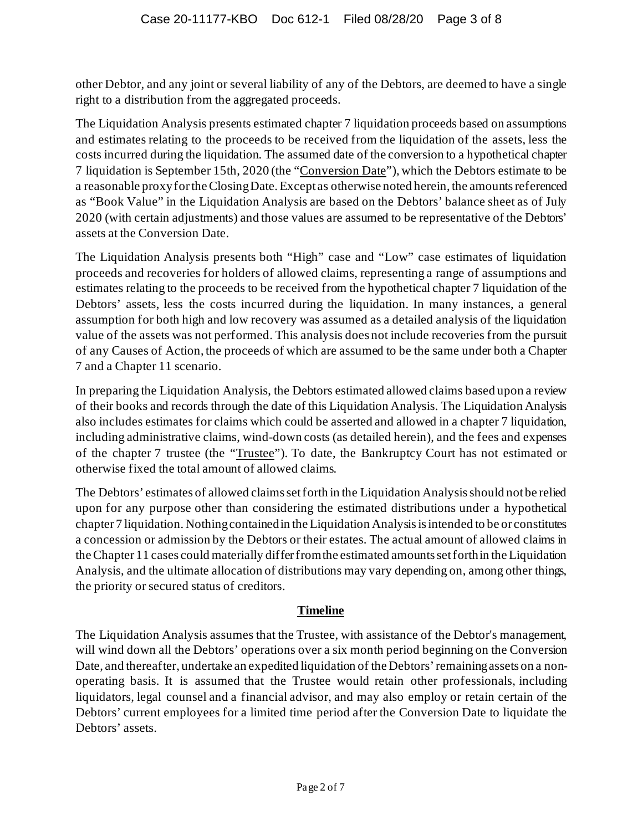other Debtor, and any joint or several liability of any of the Debtors, are deemed to have a single right to a distribution from the aggregated proceeds.

The Liquidation Analysis presents estimated chapter 7 liquidation proceeds based on assumptions and estimates relating to the proceeds to be received from the liquidation of the assets, less the costs incurred during the liquidation. The assumed date of the conversion to a hypothetical chapter 7 liquidation is September 15th, 2020 (the "Conversion Date"), which the Debtors estimate to be a reasonable proxy for the Closing Date. Except as otherwise noted herein, the amounts referenced as "Book Value" in the Liquidation Analysis are based on the Debtors' balance sheet as of July 2020 (with certain adjustments) and those values are assumed to be representative of the Debtors' assets at the Conversion Date.

The Liquidation Analysis presents both "High" case and "Low" case estimates of liquidation proceeds and recoveries for holders of allowed claims, representing a range of assumptions and estimates relating to the proceeds to be received from the hypothetical chapter 7 liquidation of the Debtors' assets, less the costs incurred during the liquidation. In many instances, a general assumption for both high and low recovery was assumed as a detailed analysis of the liquidation value of the assets was not performed. This analysis does not include recoveries from the pursuit of any Causes of Action, the proceeds of which are assumed to be the same under both a Chapter 7 and a Chapter 11 scenario.

In preparing the Liquidation Analysis, the Debtors estimated allowed claims based upon a review of their books and records through the date of this Liquidation Analysis. The Liquidation Analysis also includes estimates for claims which could be asserted and allowed in a chapter 7 liquidation, including administrative claims, wind-down costs (as detailed herein), and the fees and expenses of the chapter 7 trustee (the "Trustee"). To date, the Bankruptcy Court has not estimated or otherwise fixed the total amount of allowed claims.

The Debtors' estimates of allowed claims set forth in the Liquidation Analysis should not be relied upon for any purpose other than considering the estimated distributions under a hypothetical chapter 7 liquidation. Nothing contained in the Liquidation Analysis is intended to be or constitutes a concession or admission by the Debtors or their estates. The actual amount of allowed claims in the Chapter 11 cases could materially differ from the estimated amounts set forth in the Liquidation Analysis, and the ultimate allocation of distributions may vary depending on, among other things, the priority or secured status of creditors.

#### **Timeline**

The Liquidation Analysis assumes that the Trustee, with assistance of the Debtor's management, will wind down all the Debtors' operations over a six month period beginning on the Conversion Date, and thereafter, undertake an expedited liquidation of the Debtors' remaining assets on a nonoperating basis. It is assumed that the Trustee would retain other professionals, including liquidators, legal counsel and a financial advisor, and may also employ or retain certain of the Debtors' current employees for a limited time period after the Conversion Date to liquidate the Debtors' assets.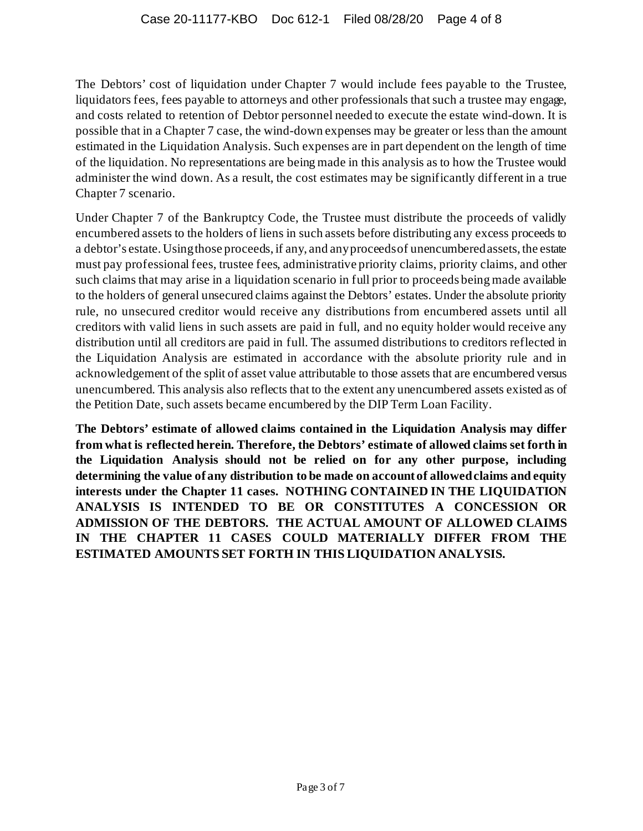The Debtors' cost of liquidation under Chapter 7 would include fees payable to the Trustee, liquidators fees, fees payable to attorneys and other professionals that such a trustee may engage, and costs related to retention of Debtor personnel needed to execute the estate wind-down. It is possible that in a Chapter 7 case, the wind-down expenses may be greater or less than the amount estimated in the Liquidation Analysis. Such expenses are in part dependent on the length of time of the liquidation. No representations are being made in this analysis as to how the Trustee would administer the wind down. As a result, the cost estimates may be significantly different in a true Chapter 7 scenario.

Under Chapter 7 of the Bankruptcy Code, the Trustee must distribute the proceeds of validly encumbered assets to the holders of liens in such assets before distributing any excess proceeds to a debtor's estate. Using those proceeds, if any, and any proceeds of unencumbered assets, the estate must pay professional fees, trustee fees, administrative priority claims, priority claims, and other such claims that may arise in a liquidation scenario in full prior to proceeds being made available to the holders of general unsecured claims against the Debtors' estates. Under the absolute priority rule, no unsecured creditor would receive any distributions from encumbered assets until all creditors with valid liens in such assets are paid in full, and no equity holder would receive any distribution until all creditors are paid in full. The assumed distributions to creditors reflected in the Liquidation Analysis are estimated in accordance with the absolute priority rule and in acknowledgement of the split of asset value attributable to those assets that are encumbered versus unencumbered. This analysis also reflects that to the extent any unencumbered assets existed as of the Petition Date, such assets became encumbered by the DIP Term Loan Facility.

**The Debtors' estimate of allowed claims contained in the Liquidation Analysis may differ from what is reflected herein. Therefore, the Debtors' estimate of allowed claims set forth in the Liquidation Analysis should not be relied on for any other purpose, including determining the value of any distribution to be made on account of allowed claims and equity interests under the Chapter 11 cases. NOTHING CONTAINED IN THE LIQUIDATION ANALYSIS IS INTENDED TO BE OR CONSTITUTES A CONCESSION OR ADMISSION OF THE DEBTORS. THE ACTUAL AMOUNT OF ALLOWED CLAIMS IN THE CHAPTER 11 CASES COULD MATERIALLY DIFFER FROM THE ESTIMATED AMOUNTS SET FORTH IN THIS LIQUIDATION ANALYSIS.**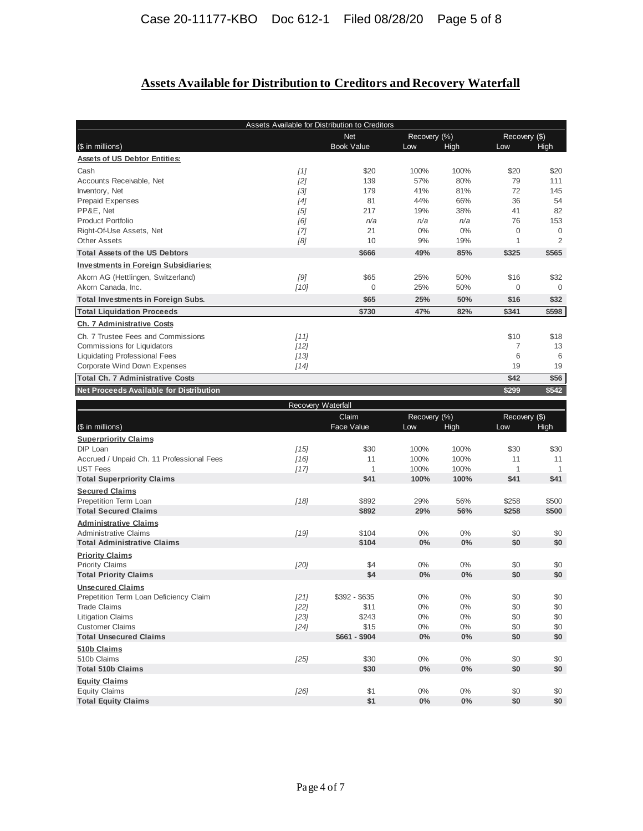# **Assets Available for Distribution to Creditors and Recovery Waterfall**

|                                                                    | Assets Available for Distribution to Creditors |                    |                |                |                   |                     |  |
|--------------------------------------------------------------------|------------------------------------------------|--------------------|----------------|----------------|-------------------|---------------------|--|
|                                                                    | <b>Net</b>                                     |                    | Recovery (%)   |                | Recovery (\$)     |                     |  |
| (\$ in millions)                                                   |                                                | <b>Book Value</b>  | Low            | High           | Low               | High                |  |
| <b>Assets of US Debtor Entities:</b>                               |                                                |                    |                |                |                   |                     |  |
| Cash                                                               | $[1]$                                          | \$20               | 100%           | 100%           | \$20              | \$20                |  |
| Accounts Receivable, Net                                           | [2]                                            | 139                | 57%            | 80%            | 79                | 111                 |  |
| Inventory, Net                                                     | $[3]$                                          | 179                | 41%            | 81%            | 72                | 145                 |  |
| Prepaid Expenses                                                   | [4]                                            | 81                 | 44%            | 66%            | 36                | 54                  |  |
| PP&E, Net                                                          | [5]                                            | 217                | 19%            | 38%            | 41                | 82                  |  |
| <b>Product Portfolio</b><br>Right-Of-Use Assets, Net               | [6]                                            | n/a<br>21          | n/a<br>0%      | n/a<br>0%      | 76<br>$\mathbf 0$ | 153<br>$\mathbf{0}$ |  |
| <b>Other Assets</b>                                                | [7]                                            | 10                 | 9%             | 19%            | $\mathbf{1}$      | $\overline{2}$      |  |
| <b>Total Assets of the US Debtors</b>                              | [8]                                            | \$666              | 49%            | 85%            | \$325             | \$565               |  |
| <b>Investments in Foreign Subsidiaries:</b>                        |                                                |                    |                |                |                   |                     |  |
| Akorn AG (Hettlingen, Switzerland)                                 | [9]                                            | \$65               | 25%            | 50%            | \$16              | \$32                |  |
| Akorn Canada, Inc.                                                 | [10]                                           | $\overline{0}$     | 25%            | 50%            | $\mathbf 0$       | $\mathbf{0}$        |  |
| <b>Total Investments in Foreign Subs.</b>                          |                                                | \$65               | 25%            | 50%            | \$16              | \$32                |  |
| <b>Total Liquidation Proceeds</b>                                  |                                                | \$730              | 47%            | 82%            | \$341             | \$598               |  |
| Ch. 7 Administrative Costs                                         |                                                |                    |                |                |                   |                     |  |
| Ch. 7 Trustee Fees and Commissions                                 | [11]                                           |                    |                |                | \$10              | \$18                |  |
| Commissions for Liquidators                                        | $[12]$                                         |                    |                |                | $\overline{7}$    | 13                  |  |
| <b>Liquidating Professional Fees</b>                               | $[13]$                                         |                    |                |                | 6                 | 6                   |  |
| Corporate Wind Down Expenses                                       | $[14]$                                         |                    |                |                | 19                | 19                  |  |
| <b>Total Ch. 7 Administrative Costs</b>                            |                                                |                    |                |                | \$42              | \$56                |  |
| <b>Net Proceeds Available for Distribution</b>                     |                                                |                    |                |                | \$299             | \$542               |  |
|                                                                    |                                                | Recovery Waterfall |                |                |                   |                     |  |
|                                                                    |                                                | Claim              |                | Recovery (%)   |                   | Recovery (\$)       |  |
|                                                                    |                                                |                    |                |                |                   |                     |  |
| (\$ in millions)                                                   |                                                | Face Value         | Low            | High           | Low               | High                |  |
| <b>Superpriority Claims</b>                                        |                                                |                    |                |                |                   |                     |  |
| DIP Loan                                                           | [15]                                           | \$30               | 100%           | 100%           | \$30              | \$30                |  |
| Accrued / Unpaid Ch. 11 Professional Fees                          | [16]                                           | 11                 | 100%           | 100%           | 11                | 11                  |  |
| <b>UST Fees</b>                                                    | $[17]$                                         | $\mathbf{1}$       | 100%           | 100%           | $\mathbf{1}$      | $\mathbf{1}$        |  |
| <b>Total Superpriority Claims</b>                                  |                                                | \$41               | 100%           | 100%           | \$41              | \$41                |  |
| <b>Secured Claims</b>                                              |                                                |                    |                |                |                   |                     |  |
| Prepetition Term Loan                                              | $[18]$                                         | \$892              | 29%            | 56%            | \$258             | \$500               |  |
| <b>Total Secured Claims</b>                                        |                                                | \$892              | 29%            | 56%            | \$258             | \$500               |  |
| <b>Administrative Claims</b>                                       |                                                |                    |                |                |                   |                     |  |
| <b>Administrative Claims</b><br><b>Total Administrative Claims</b> | $[19]$                                         | \$104              | $0\%$          | 0%             | \$0               | \$0                 |  |
|                                                                    |                                                | \$104              | 0%             | 0%             | \$0               | \$0                 |  |
| <b>Priority Claims</b>                                             |                                                |                    | $0\%$          | 0%             |                   |                     |  |
| <b>Priority Claims</b><br><b>Total Priority Claims</b>             | [20]                                           | \$4<br>\$4         | 0%             | $0\%$          | \$0<br>\$0        | \$0<br>\$0          |  |
| <b>Unsecured Claims</b>                                            |                                                |                    |                |                |                   |                     |  |
| Prepetition Term Loan Deficiency Claim                             | $[21]$                                         | $$392 - $635$      | $0\%$          | $0\%$          | \$0               | \$0                 |  |
| <b>Trade Claims</b>                                                | $[22]$                                         | \$11               | $0\%$          | $0\%$          | \$0               | \$0                 |  |
| <b>Litigation Claims</b>                                           | $[23]$                                         | \$243              | $0\%$          | $0\%$          | \$0               | \$0                 |  |
| <b>Customer Claims</b>                                             | [24]                                           | \$15               | $0\%$          | $0\%$          | \$0               | \$0                 |  |
| <b>Total Unsecured Claims</b>                                      |                                                | $$661 - $904$      | $0\%$          | $0\%$          | \$0               | \$0                 |  |
| 510b Claims                                                        |                                                |                    |                |                |                   |                     |  |
| 510b Claims                                                        | $[25]$                                         | \$30               | $0\%$          | $0\%$          | \$0               | \$0                 |  |
| <b>Total 510b Claims</b>                                           |                                                | \$30               | $0\%$          | $0\%$          | \$0               | \$0                 |  |
| <b>Equity Claims</b>                                               |                                                |                    |                |                |                   |                     |  |
| <b>Equity Claims</b><br><b>Total Equity Claims</b>                 | $[26]$                                         | \$1<br>\$1         | $0\%$<br>$0\%$ | $0\%$<br>$0\%$ | \$0<br>\$0        | \$0<br>\$0          |  |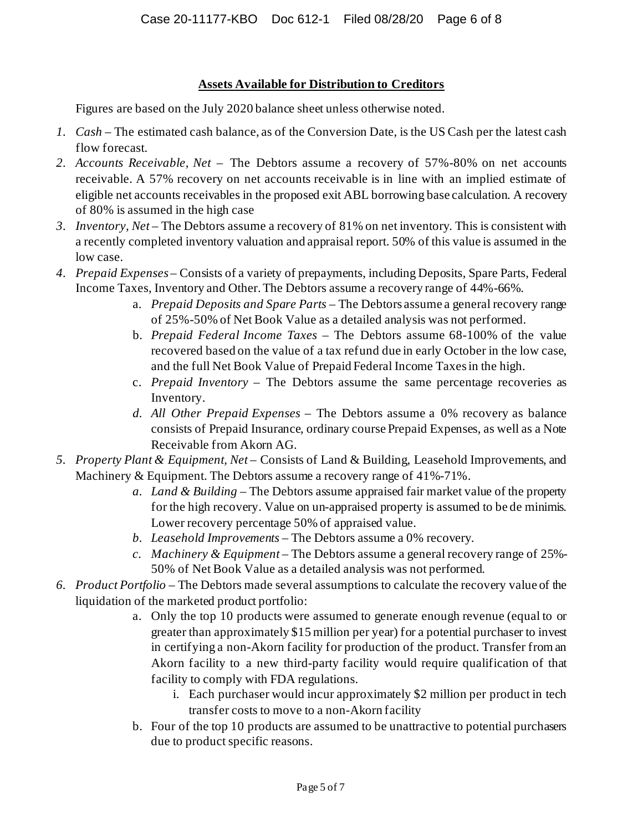#### **Assets Available for Distribution to Creditors**

Figures are based on the July 2020 balance sheet unless otherwise noted.

- *1. Cash* The estimated cash balance, as of the Conversion Date, is the US Cash per the latest cash flow forecast.
- *2. Accounts Receivable, Net* The Debtors assume a recovery of 57%-80% on net accounts receivable. A 57% recovery on net accounts receivable is in line with an implied estimate of eligible net accounts receivables in the proposed exit ABL borrowing base calculation. A recovery of 80% is assumed in the high case
- *3. Inventory, Net* The Debtors assume a recovery of 81% on net inventory. This is consistent with a recently completed inventory valuation and appraisal report. 50% of this value is assumed in the low case.
- *4. Prepaid Expenses* Consists of a variety of prepayments, including Deposits, Spare Parts, Federal Income Taxes, Inventory and Other. The Debtors assume a recovery range of 44%-66%.
	- a. *Prepaid Deposits and Spare Parts* The Debtors assume a general recovery range of 25%-50% of Net Book Value as a detailed analysis was not performed.
	- b. *Prepaid Federal Income Taxes* The Debtors assume 68-100% of the value recovered based on the value of a tax refund due in early October in the low case, and the full Net Book Value of Prepaid Federal Income Taxes in the high.
	- c. *Prepaid Inventory –* The Debtors assume the same percentage recoveries as Inventory.
	- *d. All Other Prepaid Expenses –* The Debtors assume a 0% recovery as balance consists of Prepaid Insurance, ordinary course Prepaid Expenses, as well as a Note Receivable from Akorn AG.
- *5. Property Plant & Equipment, Net* Consists of Land & Building, Leasehold Improvements, and Machinery & Equipment. The Debtors assume a recovery range of 41%-71%.
	- *a. Land & Building –* The Debtors assume appraised fair market value of the property for the high recovery. Value on un-appraised property is assumed to be de minimis. Lower recovery percentage 50% of appraised value.
	- *b. Leasehold Improvements –* The Debtors assume a 0% recovery.
	- *c. Machinery & Equipment –* The Debtors assume a general recovery range of 25%- 50% of Net Book Value as a detailed analysis was not performed.
- *6. Product Portfolio* The Debtors made several assumptions to calculate the recovery value of the liquidation of the marketed product portfolio:
	- a. Only the top 10 products were assumed to generate enough revenue (equal to or greater than approximately \$15 million per year) for a potential purchaser to invest in certifying a non-Akorn facility for production of the product. Transfer from an Akorn facility to a new third-party facility would require qualification of that facility to comply with FDA regulations.
		- i. Each purchaser would incur approximately \$2 million per product in tech transfer costs to move to a non-Akorn facility
	- b. Four of the top 10 products are assumed to be unattractive to potential purchasers due to product specific reasons.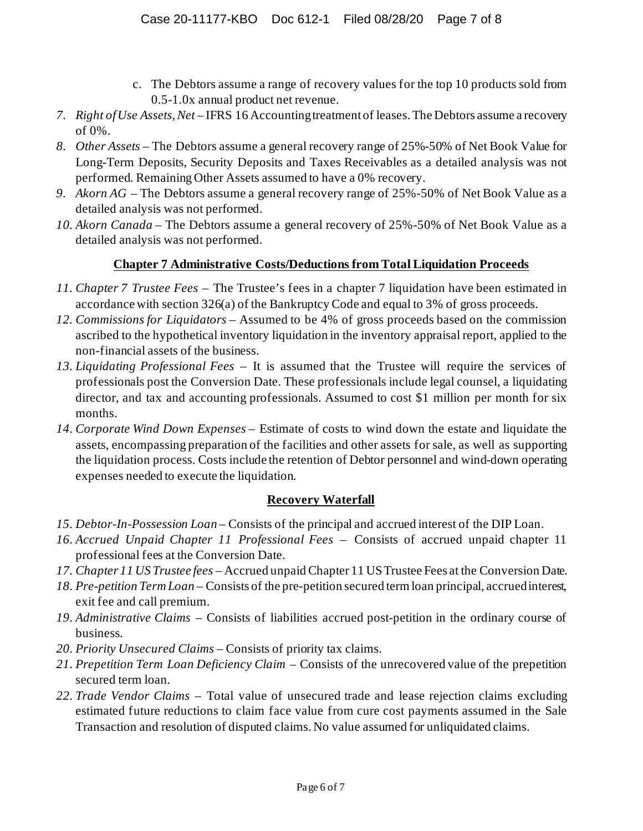- c. The Debtors assume a range of recovery values for the top 10 products sold from 0.5-1.0x annual product net revenue.
- *7. Right of Use Assets, Net* IFRS 16 Accounting treatment of leases. The Debtors assume a recovery of 0%.
- *8. Other Assets* The Debtors assume a general recovery range of 25%-50% of Net Book Value for Long-Term Deposits, Security Deposits and Taxes Receivables as a detailed analysis was not performed. Remaining Other Assets assumed to have a 0% recovery.
- *9. Akorn AG* The Debtors assume a general recovery range of 25%-50% of Net Book Value as a detailed analysis was not performed.
- *10. Akorn Canada* The Debtors assume a general recovery of 25%-50% of Net Book Value as a detailed analysis was not performed.

### **Chapter 7 Administrative Costs/Deductions from Total Liquidation Proceeds**

- *11. Chapter 7 Trustee Fees –* The Trustee's fees in a chapter 7 liquidation have been estimated in accordance with section 326(a) of the Bankruptcy Code and equal to 3% of gross proceeds.
- *12. Commissions for Liquidators* Assumed to be 4% of gross proceeds based on the commission ascribed to the hypothetical inventory liquidation in the inventory appraisal report, applied to the non-financial assets of the business.
- *13. Liquidating Professional Fees* It is assumed that the Trustee will require the services of professionals post the Conversion Date. These professionals include legal counsel, a liquidating director, and tax and accounting professionals. Assumed to cost \$1 million per month for six months.
- *14. Corporate Wind Down Expenses* Estimate of costs to wind down the estate and liquidate the assets, encompassing preparation of the facilities and other assets for sale, as well as supporting the liquidation process. Costs include the retention of Debtor personnel and wind-down operating expenses needed to execute the liquidation.

#### **Recovery Waterfall**

- *15. Debtor-In-Possession Loan* Consists of the principal and accrued interest of the DIP Loan.
- *16. Accrued Unpaid Chapter 11 Professional Fees* Consists of accrued unpaid chapter 11 professional fees at the Conversion Date.
- *17. Chapter 11 US Trustee fees* Accrued unpaid Chapter 11 US Trustee Fees at the Conversion Date.
- *18. Pre-petition Term Loan –* Consists of the pre-petition secured term loan principal, accrued interest, exit fee and call premium.
- *19. Administrative Claims –* Consists of liabilities accrued post-petition in the ordinary course of business*.*
- *20. Priority Unsecured Claims* Consists of priority tax claims.
- *21. Prepetition Term Loan Deficiency Claim –* Consists of the unrecovered value of the prepetition secured term loan.
- *22. Trade Vendor Claims –* Total value of unsecured trade and lease rejection claims excluding estimated future reductions to claim face value from cure cost payments assumed in the Sale Transaction and resolution of disputed claims. No value assumed for unliquidated claims.